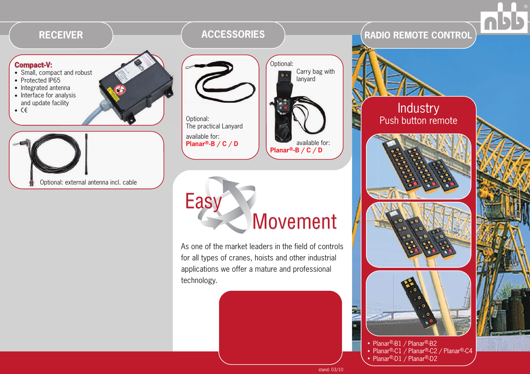

• Planar®-B1 / Planar®-B2 • Planar®-C1 / Planar®-C2 / Planar®-C4 • Planar®-D1 / Planar®-D2

stand: 03/10